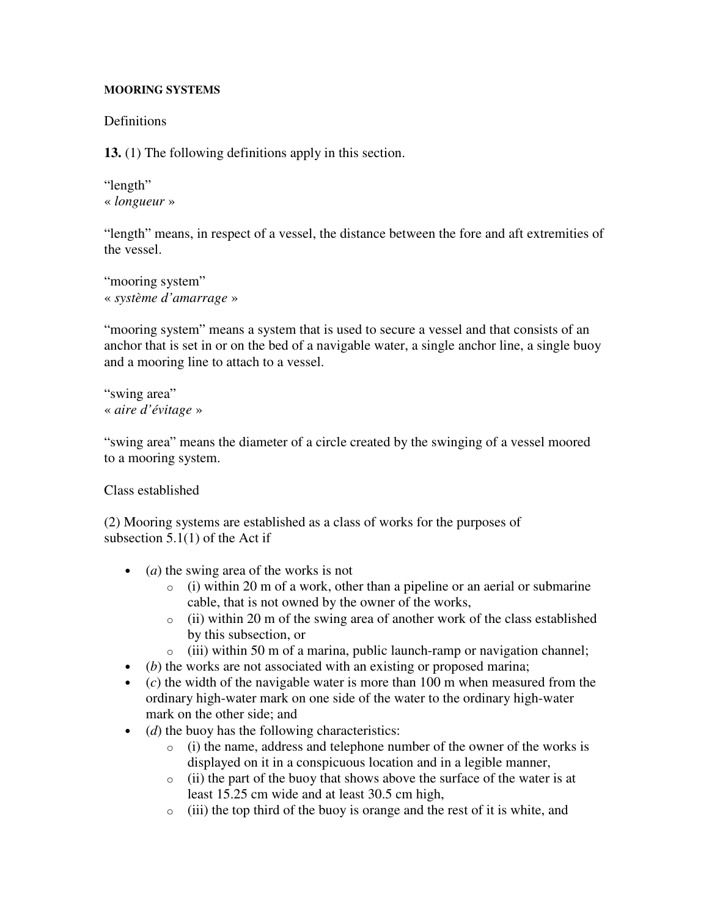### **MOORING SYSTEMS**

## **Definitions**

**13.** (1) The following definitions apply in this section.

```
"length" 
« longueur »
```
"length" means, in respect of a vessel, the distance between the fore and aft extremities of the vessel.

"mooring system" « *système d'amarrage* »

"mooring system" means a system that is used to secure a vessel and that consists of an anchor that is set in or on the bed of a navigable water, a single anchor line, a single buoy and a mooring line to attach to a vessel.

"swing area" « *aire d'évitage* »

"swing area" means the diameter of a circle created by the swinging of a vessel moored to a mooring system.

Class established

(2) Mooring systems are established as a class of works for the purposes of subsection 5.1(1) of the Act if

- (*a*) the swing area of the works is not
	- o (i) within 20 m of a work, other than a pipeline or an aerial or submarine cable, that is not owned by the owner of the works,
	- $\circ$  (ii) within 20 m of the swing area of another work of the class established by this subsection, or
	- o (iii) within 50 m of a marina, public launch-ramp or navigation channel;
- (*b*) the works are not associated with an existing or proposed marina;
- (*c*) the width of the navigable water is more than 100 m when measured from the ordinary high-water mark on one side of the water to the ordinary high-water mark on the other side; and
- (*d*) the buoy has the following characteristics:
	- o (i) the name, address and telephone number of the owner of the works is displayed on it in a conspicuous location and in a legible manner,
	- $\circ$  (ii) the part of the buoy that shows above the surface of the water is at least 15.25 cm wide and at least 30.5 cm high,
	- $\circ$  (iii) the top third of the buoy is orange and the rest of it is white, and